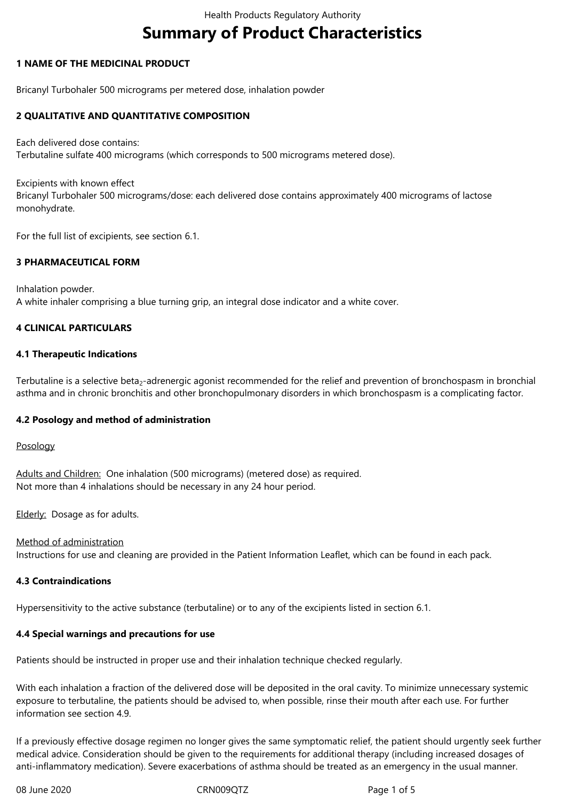# **Summary of Product Characteristics**

## **1 NAME OF THE MEDICINAL PRODUCT**

Bricanyl Turbohaler 500 micrograms per metered dose, inhalation powder

## **2 QUALITATIVE AND QUANTITATIVE COMPOSITION**

Each delivered dose contains: Terbutaline sulfate 400 micrograms (which corresponds to 500 micrograms metered dose).

Excipients with known effect Bricanyl Turbohaler 500 micrograms/dose: each delivered dose contains approximately 400 micrograms of lactose monohydrate.

For the full list of excipients, see section 6.1.

## **3 PHARMACEUTICAL FORM**

Inhalation powder. A white inhaler comprising a blue turning grip, an integral dose indicator and a white cover.

## **4 CLINICAL PARTICULARS**

#### **4.1 Therapeutic Indications**

Terbutaline is a selective beta<sub>2</sub>-adrenergic agonist recommended for the relief and prevention of bronchospasm in bronchial asthma and in chronic bronchitis and other bronchopulmonary disorders in which bronchospasm is a complicating factor.

#### **4.2 Posology and method of administration**

#### Posology

Adults and Children: One inhalation (500 micrograms) (metered dose) as required. Not more than 4 inhalations should be necessary in any 24 hour period.

Elderly: Dosage as for adults.

# Method of administration

Instructions for use and cleaning are provided in the Patient Information Leaflet, which can be found in each pack.

#### **4.3 Contraindications**

Hypersensitivity to the active substance (terbutaline) or to any of the excipients listed in section 6.1.

#### **4.4 Special warnings and precautions for use**

Patients should be instructed in proper use and their inhalation technique checked regularly.

With each inhalation a fraction of the delivered dose will be deposited in the oral cavity. To minimize unnecessary systemic exposure to terbutaline, the patients should be advised to, when possible, rinse their mouth after each use. For further information see section 4.9.

If a previously effective dosage regimen no longer gives the same symptomatic relief, the patient should urgently seek further medical advice. Consideration should be given to the requirements for additional therapy (including increased dosages of anti-inflammatory medication). Severe exacerbations of asthma should be treated as an emergency in the usual manner.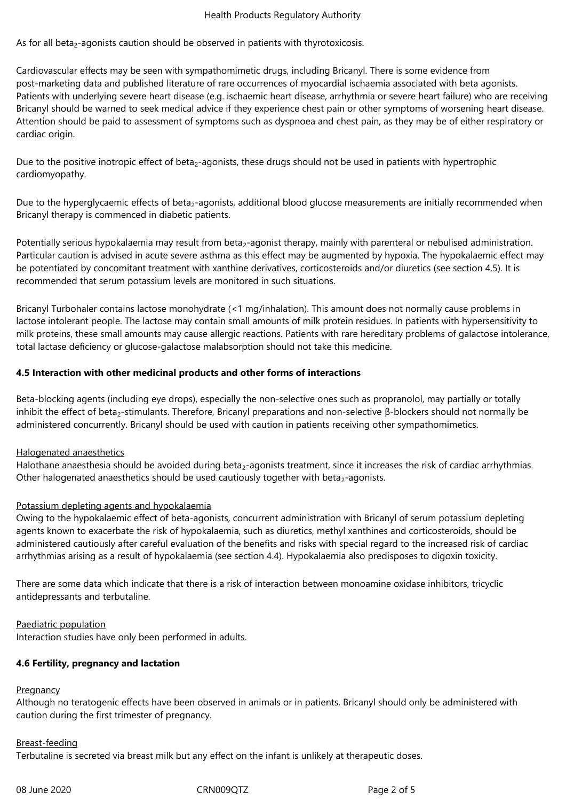#### Health Products Regulatory Authority

As for all beta $<sub>2</sub>$ -agonists caution should be observed in patients with thyrotoxicosis.</sub>

Cardiovascular effects may be seen with sympathomimetic drugs, including Bricanyl. There is some evidence from post-marketing data and published literature of rare occurrences of myocardial ischaemia associated with beta agonists. Patients with underlying severe heart disease (e.g. ischaemic heart disease, arrhythmia or severe heart failure) who are receiving Bricanyl should be warned to seek medical advice if they experience chest pain or other symptoms of worsening heart disease. Attention should be paid to assessment of symptoms such as dyspnoea and chest pain, as they may be of either respiratory or cardiac origin.

Due to the positive inotropic effect of beta<sub>2</sub>-agonists, these drugs should not be used in patients with hypertrophic cardiomyopathy.

Due to the hyperglycaemic effects of beta<sub>2</sub>-agonists, additional blood glucose measurements are initially recommended when Bricanyl therapy is commenced in diabetic patients.

Potentially serious hypokalaemia may result from beta<sub>2</sub>-agonist therapy, mainly with parenteral or nebulised administration. Particular caution is advised in acute severe asthma as this effect may be augmented by hypoxia. The hypokalaemic effect may be potentiated by concomitant treatment with xanthine derivatives, corticosteroids and/or diuretics (see section 4.5). It is recommended that serum potassium levels are monitored in such situations.

Bricanyl Turbohaler contains lactose monohydrate (<1 mg/inhalation). This amount does not normally cause problems in lactose intolerant people. The lactose may contain small amounts of milk protein residues. In patients with hypersensitivity to milk proteins, these small amounts may cause allergic reactions. Patients with rare hereditary problems of galactose intolerance, total lactase deficiency or glucose‑galactose malabsorption should not take this medicine.

#### **4.5 Interaction with other medicinal products and other forms of interactions**

Beta-blocking agents (including eye drops), especially the non-selective ones such as propranolol, may partially or totally inhibit the effect of beta<sub>2</sub>-stimulants. Therefore, Bricanyl preparations and non-selective β-blockers should not normally be administered concurrently. Bricanyl should be used with caution in patients receiving other sympathomimetics.

#### Halogenated anaesthetics

Halothane anaesthesia should be avoided during beta<sub>2</sub>-agonists treatment, since it increases the risk of cardiac arrhythmias. Other halogenated anaesthetics should be used cautiously together with beta<sub>2</sub>-agonists.

#### Potassium depleting agents and hypokalaemia

Owing to the hypokalaemic effect of beta-agonists, concurrent administration with Bricanyl of serum potassium depleting agents known to exacerbate the risk of hypokalaemia, such as diuretics, methyl xanthines and corticosteroids, should be administered cautiously after careful evaluation of the benefits and risks with special regard to the increased risk of cardiac arrhythmias arising as a result of hypokalaemia (see section 4.4). Hypokalaemia also predisposes to digoxin toxicity.

There are some data which indicate that there is a risk of interaction between monoamine oxidase inhibitors, tricyclic antidepressants and terbutaline.

#### Paediatric population

Interaction studies have only been performed in adults.

#### **4.6 Fertility, pregnancy and lactation**

#### **Pregnancy**

Although no teratogenic effects have been observed in animals or in patients, Bricanyl should only be administered with caution during the first trimester of pregnancy.

#### Breast‑feeding

Terbutaline is secreted via breast milk but any effect on the infant is unlikely at therapeutic doses.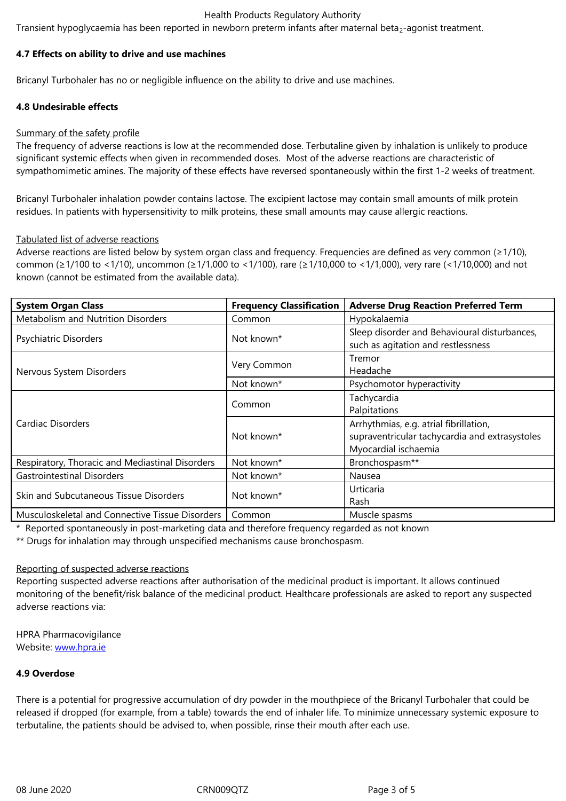#### **4.7 Effects on ability to drive and use machines**

Bricanyl Turbohaler has no or negligible influence on the ability to drive and use machines.

## **4.8 Undesirable effects**

#### Summary of the safety profile

The frequency of adverse reactions is low at the recommended dose. Terbutaline given by inhalation is unlikely to produce significant systemic effects when given in recommended doses. Most of the adverse reactions are characteristic of sympathomimetic amines. The majority of these effects have reversed spontaneously within the first 1-2 weeks of treatment.

Bricanyl Turbohaler inhalation powder contains lactose. The excipient lactose may contain small amounts of milk protein residues. In patients with hypersensitivity to milk proteins, these small amounts may cause allergic reactions.

#### Tabulated list of adverse reactions

Adverse reactions are listed below by system organ class and frequency. Frequencies are defined as very common (≥1/10), common (≥1/100 to <1/10), uncommon (≥1/1,000 to <1/100), rare (≥1/10,000 to <1/1,000), very rare (<1/10,000) and not known (cannot be estimated from the available data).

| <b>System Organ Class</b>                       | <b>Frequency Classification</b> | <b>Adverse Drug Reaction Preferred Term</b>                                                                      |
|-------------------------------------------------|---------------------------------|------------------------------------------------------------------------------------------------------------------|
| Metabolism and Nutrition Disorders              | Common                          | Hypokalaemia                                                                                                     |
| Psychiatric Disorders                           | Not known*                      | Sleep disorder and Behavioural disturbances,<br>such as agitation and restlessness                               |
| Nervous System Disorders                        | Very Common                     | Tremor<br>Headache                                                                                               |
|                                                 | Not known*                      | Psychomotor hyperactivity                                                                                        |
| Cardiac Disorders                               | Common                          | Tachycardia<br>Palpitations                                                                                      |
|                                                 | Not known*                      | Arrhythmias, e.g. atrial fibrillation,<br>supraventricular tachycardia and extrasystoles<br>Myocardial ischaemia |
| Respiratory, Thoracic and Mediastinal Disorders | Not known*                      | Bronchospasm**                                                                                                   |
| <b>Gastrointestinal Disorders</b>               | Not known*                      | Nausea                                                                                                           |
| Skin and Subcutaneous Tissue Disorders          | Not known*                      | Urticaria<br>Rash                                                                                                |
| Musculoskeletal and Connective Tissue Disorders | Common                          | Muscle spasms                                                                                                    |

\* Reported spontaneously in post-marketing data and therefore frequency regarded as not known

\*\* Drugs for inhalation may through unspecified mechanisms cause bronchospasm.

#### Reporting of suspected adverse reactions

Reporting suspected adverse reactions after authorisation of the medicinal product is important. It allows continued monitoring of the benefit/risk balance of the medicinal product. Healthcare professionals are asked to report any suspected adverse reactions via:

HPRA Pharmacovigilance Website: www.hpra.ie

# **4.9 Overdose**

There is [a potential fo](http://www.hpra.ie/)r progressive accumulation of dry powder in the mouthpiece of the Bricanyl Turbohaler that could be released if dropped (for example, from a table) towards the end of inhaler life. To minimize unnecessary systemic exposure to terbutaline, the patients should be advised to, when possible, rinse their mouth after each use.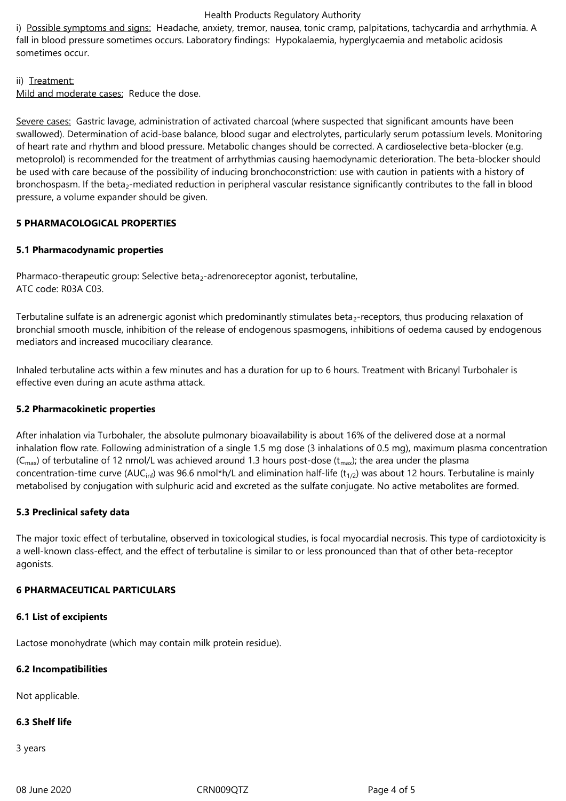#### Health Products Regulatory Authority

i) Possible symptoms and signs: Headache, anxiety, tremor, nausea, tonic cramp, palpitations, tachycardia and arrhythmia. A fall in blood pressure sometimes occurs. Laboratory findings: Hypokalaemia, hyperglycaemia and metabolic acidosis sometimes occur.

## ii) Treatment:

Mild and moderate cases: Reduce the dose.

Severe cases: Gastric lavage, administration of activated charcoal (where suspected that significant amounts have been swallowed). Determination of acid-base balance, blood sugar and electrolytes, particularly serum potassium levels. Monitoring of heart rate and rhythm and blood pressure. Metabolic changes should be corrected. A cardioselective beta-blocker (e.g. metoprolol) is recommended for the treatment of arrhythmias causing haemodynamic deterioration. The beta-blocker should be used with care because of the possibility of inducing bronchoconstriction: use with caution in patients with a history of bronchospasm. If the beta<sub>2</sub>-mediated reduction in peripheral vascular resistance significantly contributes to the fall in blood pressure, a volume expander should be given.

## **5 PHARMACOLOGICAL PROPERTIES**

## **5.1 Pharmacodynamic properties**

Pharmaco-therapeutic group: Selective beta<sub>2</sub>-adrenoreceptor agonist, terbutaline, ATC code: R03A C03.

Terbutaline sulfate is an adrenergic agonist which predominantly stimulates beta<sub>2</sub>-receptors, thus producing relaxation of bronchial smooth muscle, inhibition of the release of endogenous spasmogens, inhibitions of oedema caused by endogenous mediators and increased mucociliary clearance.

Inhaled terbutaline acts within a few minutes and has a duration for up to 6 hours. Treatment with Bricanyl Turbohaler is effective even during an acute asthma attack.

#### **5.2 Pharmacokinetic properties**

After inhalation via Turbohaler, the absolute pulmonary bioavailability is about 16% of the delivered dose at a normal inhalation flow rate. Following administration of a single 1.5 mg dose (3 inhalations of 0.5 mg), maximum plasma concentration ( $C_{\text{max}}$ ) of terbutaline of 12 nmol/L was achieved around 1.3 hours post-dose ( $t_{\text{max}}$ ); the area under the plasma concentration-time curve (AUC<sub>inf</sub>) was 96.6 nmol\*h/L and elimination half-life (t<sub>1/2</sub>) was about 12 hours. Terbutaline is mainly metabolised by conjugation with sulphuric acid and excreted as the sulfate conjugate. No active metabolites are formed.

#### **5.3 Preclinical safety data**

The major toxic effect of terbutaline, observed in toxicological studies, is focal myocardial necrosis. This type of cardiotoxicity is a well-known class-effect, and the effect of terbutaline is similar to or less pronounced than that of other beta-receptor agonists.

# **6 PHARMACEUTICAL PARTICULARS**

#### **6.1 List of excipients**

Lactose monohydrate (which may contain milk protein residue).

#### **6.2 Incompatibilities**

Not applicable.

# **6.3 Shelf life**

3 years